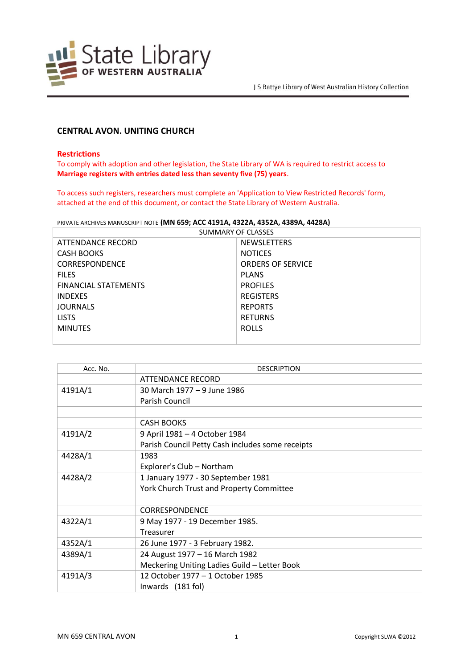

# **CENTRAL AVON. UNITING CHURCH**

### **Restrictions**

To comply with adoption and other legislation, the State Library of WA is required to restrict access to **Marriage registers with entries dated less than seventy five (75) years**.

To access such registers, researchers must complete an 'Application to View Restricted Records' form, attached at the end of this document, or contact the State Library of Western Australia.

PRIVATE ARCHIVES MANUSCRIPT NOTE **(MN 659; ACC 4191A, 4322A, 4352A, 4389A, 4428A)**

| SUMMARY OF CLASSES          |                          |  |
|-----------------------------|--------------------------|--|
| ATTENDANCE RECORD           | <b>NEWSLETTERS</b>       |  |
| <b>CASH BOOKS</b>           | <b>NOTICES</b>           |  |
| <b>CORRESPONDENCE</b>       | <b>ORDERS OF SERVICE</b> |  |
| <b>FILES</b>                | <b>PLANS</b>             |  |
| <b>FINANCIAL STATEMENTS</b> | <b>PROFILES</b>          |  |
| <b>INDEXES</b>              | <b>REGISTERS</b>         |  |
| <b>JOURNALS</b>             | <b>REPORTS</b>           |  |
| <b>LISTS</b>                | <b>RETURNS</b>           |  |
| <b>MINUTES</b>              | <b>ROLLS</b>             |  |
|                             |                          |  |

| Acc. No. | <b>DESCRIPTION</b>                               |
|----------|--------------------------------------------------|
|          | <b>ATTENDANCE RECORD</b>                         |
| 4191A/1  | 30 March 1977 - 9 June 1986                      |
|          | Parish Council                                   |
|          |                                                  |
|          | <b>CASH BOOKS</b>                                |
| 4191A/2  | 9 April 1981 - 4 October 1984                    |
|          | Parish Council Petty Cash includes some receipts |
| 4428A/1  | 1983                                             |
|          | Explorer's Club - Northam                        |
| 4428A/2  | 1 January 1977 - 30 September 1981               |
|          | York Church Trust and Property Committee         |
|          |                                                  |
|          | <b>CORRESPONDENCE</b>                            |
| 4322A/1  | 9 May 1977 - 19 December 1985.                   |
|          | Treasurer                                        |
| 4352A/1  | 26 June 1977 - 3 February 1982.                  |
| 4389A/1  | 24 August 1977 - 16 March 1982                   |
|          | Meckering Uniting Ladies Guild - Letter Book     |
| 4191A/3  | 12 October 1977 – 1 October 1985                 |
|          | Inwards (181 fol)                                |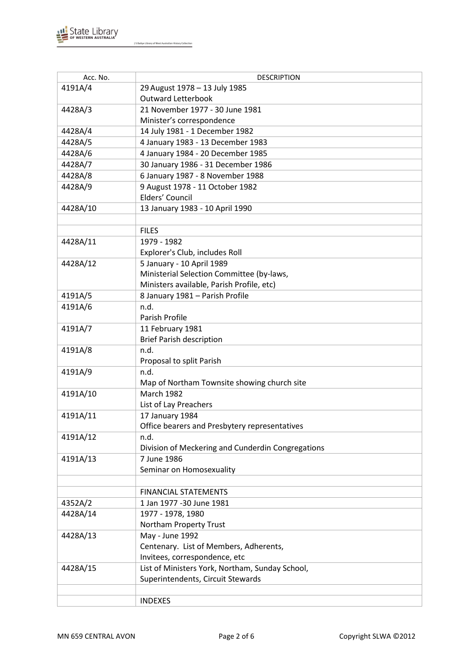

| Acc. No. | <b>DESCRIPTION</b>                                |
|----------|---------------------------------------------------|
| 4191A/4  | 29 August 1978 - 13 July 1985                     |
|          | <b>Outward Letterbook</b>                         |
| 4428A/3  | 21 November 1977 - 30 June 1981                   |
|          | Minister's correspondence                         |
| 4428A/4  | 14 July 1981 - 1 December 1982                    |
| 4428A/5  | 4 January 1983 - 13 December 1983                 |
| 4428A/6  | 4 January 1984 - 20 December 1985                 |
| 4428A/7  | 30 January 1986 - 31 December 1986                |
| 4428A/8  | 6 January 1987 - 8 November 1988                  |
| 4428A/9  | 9 August 1978 - 11 October 1982                   |
|          | Elders' Council                                   |
| 4428A/10 | 13 January 1983 - 10 April 1990                   |
|          |                                                   |
|          | <b>FILES</b>                                      |
| 4428A/11 | 1979 - 1982                                       |
|          | Explorer's Club, includes Roll                    |
| 4428A/12 | 5 January - 10 April 1989                         |
|          | Ministerial Selection Committee (by-laws,         |
|          | Ministers available, Parish Profile, etc)         |
| 4191A/5  | 8 January 1981 - Parish Profile                   |
| 4191A/6  | n.d.                                              |
|          | Parish Profile                                    |
| 4191A/7  | 11 February 1981                                  |
|          | <b>Brief Parish description</b>                   |
| 4191A/8  | n.d.                                              |
|          | Proposal to split Parish                          |
| 4191A/9  | n.d.                                              |
|          | Map of Northam Townsite showing church site       |
| 4191A/10 | <b>March 1982</b>                                 |
|          | List of Lay Preachers                             |
| 4191A/11 | 17 January 1984                                   |
|          | Office bearers and Presbytery representatives     |
| 4191A/12 | n.d.                                              |
|          | Division of Meckering and Cunderdin Congregations |
| 4191A/13 | 7 June 1986                                       |
|          | Seminar on Homosexuality                          |
|          |                                                   |
|          | <b>FINANCIAL STATEMENTS</b>                       |
| 4352A/2  | 1 Jan 1977 -30 June 1981                          |
| 4428A/14 | 1977 - 1978, 1980                                 |
|          | Northam Property Trust                            |
| 4428A/13 | May - June 1992                                   |
|          | Centenary. List of Members, Adherents,            |
|          | Invitees, correspondence, etc                     |
| 4428A/15 | List of Ministers York, Northam, Sunday School,   |
|          | Superintendents, Circuit Stewards                 |
|          |                                                   |
|          | <b>INDEXES</b>                                    |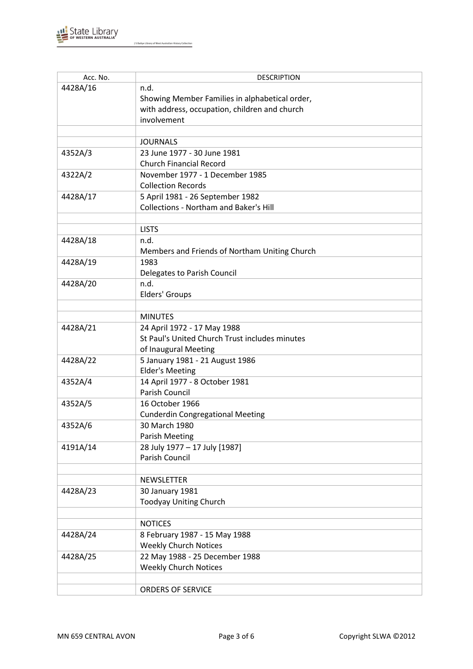

| Acc. No. | <b>DESCRIPTION</b>                                                                |
|----------|-----------------------------------------------------------------------------------|
| 4428A/16 | n.d.                                                                              |
|          | Showing Member Families in alphabetical order,                                    |
|          | with address, occupation, children and church                                     |
|          | involvement                                                                       |
|          |                                                                                   |
|          | <b>JOURNALS</b>                                                                   |
| 4352A/3  | 23 June 1977 - 30 June 1981                                                       |
|          | <b>Church Financial Record</b>                                                    |
| 4322A/2  | November 1977 - 1 December 1985                                                   |
|          | <b>Collection Records</b>                                                         |
| 4428A/17 |                                                                                   |
|          | 5 April 1981 - 26 September 1982<br><b>Collections - Northam and Baker's Hill</b> |
|          |                                                                                   |
|          |                                                                                   |
|          | <b>LISTS</b>                                                                      |
| 4428A/18 | n.d.                                                                              |
|          | Members and Friends of Northam Uniting Church                                     |
| 4428A/19 | 1983                                                                              |
|          | Delegates to Parish Council                                                       |
| 4428A/20 | n.d.                                                                              |
|          | Elders' Groups                                                                    |
|          |                                                                                   |
|          | <b>MINUTES</b>                                                                    |
| 4428A/21 | 24 April 1972 - 17 May 1988                                                       |
|          | St Paul's United Church Trust includes minutes                                    |
|          | of Inaugural Meeting                                                              |
| 4428A/22 | 5 January 1981 - 21 August 1986                                                   |
|          | <b>Elder's Meeting</b>                                                            |
| 4352A/4  | 14 April 1977 - 8 October 1981                                                    |
|          | Parish Council                                                                    |
| 4352A/5  | 16 October 1966                                                                   |
|          | <b>Cunderdin Congregational Meeting</b>                                           |
| 4352A/6  | 30 March 1980                                                                     |
|          | <b>Parish Meeting</b>                                                             |
| 4191A/14 | 28 July 1977 - 17 July [1987]                                                     |
|          | Parish Council                                                                    |
|          |                                                                                   |
|          | <b>NEWSLETTER</b>                                                                 |
| 4428A/23 | 30 January 1981                                                                   |
|          | <b>Toodyay Uniting Church</b>                                                     |
|          |                                                                                   |
|          | <b>NOTICES</b>                                                                    |
| 4428A/24 | 8 February 1987 - 15 May 1988                                                     |
|          | <b>Weekly Church Notices</b>                                                      |
|          |                                                                                   |
| 4428A/25 | 22 May 1988 - 25 December 1988                                                    |
|          | <b>Weekly Church Notices</b>                                                      |
|          |                                                                                   |
|          | ORDERS OF SERVICE                                                                 |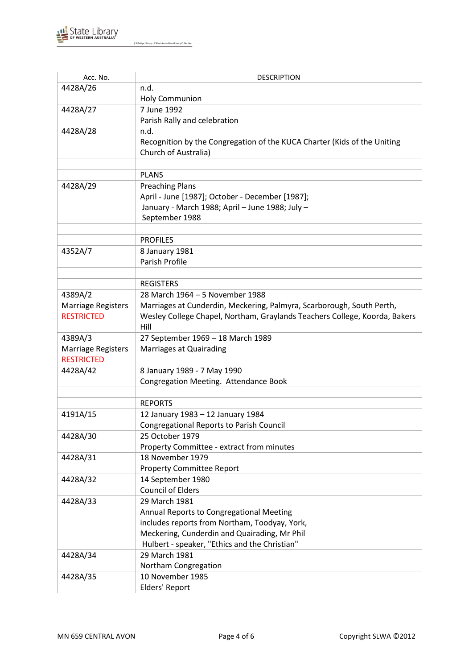

| Acc. No.                  | <b>DESCRIPTION</b>                                                         |
|---------------------------|----------------------------------------------------------------------------|
| 4428A/26                  | n.d.                                                                       |
|                           | <b>Holy Communion</b>                                                      |
| 4428A/27                  | 7 June 1992                                                                |
|                           | Parish Rally and celebration                                               |
| 4428A/28                  | n.d.                                                                       |
|                           | Recognition by the Congregation of the KUCA Charter (Kids of the Uniting   |
|                           | Church of Australia)                                                       |
|                           |                                                                            |
|                           | <b>PLANS</b>                                                               |
| 4428A/29                  | <b>Preaching Plans</b>                                                     |
|                           | April - June [1987]; October - December [1987];                            |
|                           | January - March 1988; April - June 1988; July -                            |
|                           | September 1988                                                             |
|                           |                                                                            |
|                           | <b>PROFILES</b>                                                            |
| 4352A/7                   | 8 January 1981                                                             |
|                           | Parish Profile                                                             |
|                           |                                                                            |
|                           | <b>REGISTERS</b>                                                           |
| 4389A/2                   | 28 March 1964 - 5 November 1988                                            |
| <b>Marriage Registers</b> | Marriages at Cunderdin, Meckering, Palmyra, Scarborough, South Perth,      |
| <b>RESTRICTED</b>         | Wesley College Chapel, Northam, Graylands Teachers College, Koorda, Bakers |
|                           | Hill                                                                       |
| 4389A/3                   | 27 September 1969 - 18 March 1989                                          |
| <b>Marriage Registers</b> | Marriages at Quairading                                                    |
| <b>RESTRICTED</b>         |                                                                            |
| 4428A/42                  | 8 January 1989 - 7 May 1990                                                |
|                           | Congregation Meeting. Attendance Book                                      |
|                           |                                                                            |
|                           | <b>REPORTS</b>                                                             |
| 4191A/15                  | 12 January 1983 - 12 January 1984                                          |
|                           | <b>Congregational Reports to Parish Council</b>                            |
| 4428A/30                  | 25 October 1979                                                            |
|                           | Property Committee - extract from minutes                                  |
| 4428A/31                  | 18 November 1979                                                           |
|                           | <b>Property Committee Report</b>                                           |
| 4428A/32                  | 14 September 1980                                                          |
|                           | <b>Council of Elders</b>                                                   |
| 4428A/33                  | 29 March 1981                                                              |
|                           | Annual Reports to Congregational Meeting                                   |
|                           | includes reports from Northam, Toodyay, York,                              |
|                           | Meckering, Cunderdin and Quairading, Mr Phil                               |
|                           | Hulbert - speaker, "Ethics and the Christian"                              |
| 4428A/34                  | 29 March 1981                                                              |
|                           | Northam Congregation                                                       |
| 4428A/35                  | 10 November 1985                                                           |
|                           | Elders' Report                                                             |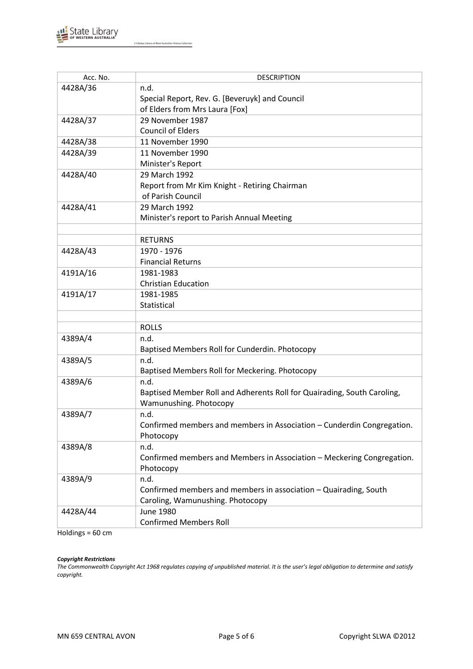

| Acc. No. | <b>DESCRIPTION</b>                                                      |
|----------|-------------------------------------------------------------------------|
| 4428A/36 | n.d.                                                                    |
|          | Special Report, Rev. G. [Beveruyk] and Council                          |
|          | of Elders from Mrs Laura [Fox]                                          |
| 4428A/37 | 29 November 1987                                                        |
|          | <b>Council of Elders</b>                                                |
| 4428A/38 | 11 November 1990                                                        |
| 4428A/39 | 11 November 1990                                                        |
|          | Minister's Report                                                       |
| 4428A/40 | 29 March 1992                                                           |
|          | Report from Mr Kim Knight - Retiring Chairman                           |
|          | of Parish Council                                                       |
| 4428A/41 | 29 March 1992                                                           |
|          | Minister's report to Parish Annual Meeting                              |
|          |                                                                         |
|          | <b>RETURNS</b>                                                          |
| 4428A/43 | 1970 - 1976                                                             |
|          | <b>Financial Returns</b>                                                |
| 4191A/16 | 1981-1983                                                               |
|          | <b>Christian Education</b>                                              |
| 4191A/17 | 1981-1985                                                               |
|          | Statistical                                                             |
|          |                                                                         |
|          | <b>ROLLS</b>                                                            |
| 4389A/4  | n.d.                                                                    |
|          | Baptised Members Roll for Cunderdin. Photocopy                          |
| 4389A/5  | n.d.                                                                    |
|          | Baptised Members Roll for Meckering. Photocopy                          |
| 4389A/6  | n.d.                                                                    |
|          | Baptised Member Roll and Adherents Roll for Quairading, South Caroling, |
|          | Wamunushing. Photocopy                                                  |
| 4389A/7  | n.d.                                                                    |
|          | Confirmed members and members in Association - Cunderdin Congregation.  |
|          | Photocopy                                                               |
| 4389A/8  | n.d.                                                                    |
|          | Confirmed members and Members in Association - Meckering Congregation.  |
|          | Photocopy                                                               |
| 4389A/9  | n.d.                                                                    |
|          | Confirmed members and members in association - Quairading, South        |
|          | Caroling, Wamunushing. Photocopy                                        |
| 4428A/44 | June 1980                                                               |
|          | <b>Confirmed Members Roll</b>                                           |

Holdings = 60 cm

#### *Copyright Restrictions*

*The Commonwealth Copyright Act 1968 regulates copying of unpublished material. It is the user's legal obligation to determine and satisfy copyright.*